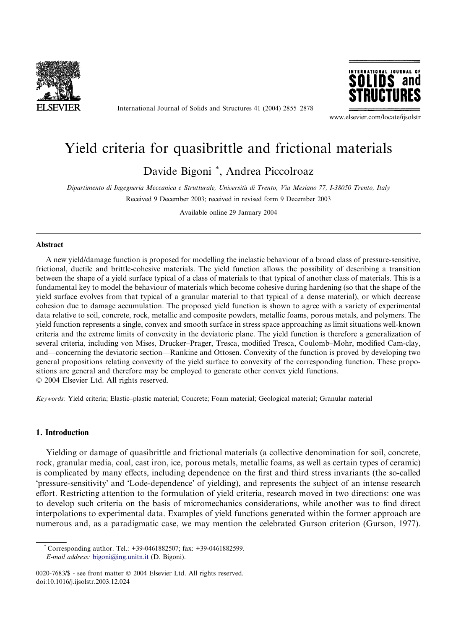

International Journal of Solids and Structures 41 (2004) 2855–2878



www.elsevier.com/locate/ijsolstr

# Yield criteria for quasibrittle and frictional materials

Davide Bigoni \*, Andrea Piccolroaz

Dipartimento di Ingegneria Meccanica e Strutturale, Universita di Trento, Via Mesiano 77, I-38050 Trento, Italy Received 9 December 2003; received in revised form 9 December 2003

Available online 29 January 2004

#### Abstract

A new yield/damage function is proposed for modelling the inelastic behaviour of a broad class of pressure-sensitive, frictional, ductile and brittle-cohesive materials. The yield function allows the possibility of describing a transition between the shape of a yield surface typical of a class of materials to that typical of another class of materials. This is a fundamental key to model the behaviour of materials which become cohesive during hardening (so that the shape of the yield surface evolves from that typical of a granular material to that typical of a dense material), or which decrease cohesion due to damage accumulation. The proposed yield function is shown to agree with a variety of experimental data relative to soil, concrete, rock, metallic and composite powders, metallic foams, porous metals, and polymers. The yield function represents a single, convex and smooth surface in stress space approaching as limit situations well-known criteria and the extreme limits of convexity in the deviatoric plane. The yield function is therefore a generalization of several criteria, including von Mises, Drucker–Prager, Tresca, modified Tresca, Coulomb–Mohr, modified Cam-clay, and––concerning the deviatoric section––Rankine and Ottosen. Convexity of the function is proved by developing two general propositions relating convexity of the yield surface to convexity of the corresponding function. These propositions are general and therefore may be employed to generate other convex yield functions. 2004 Elsevier Ltd. All rights reserved.

Keywords: Yield criteria; Elastic–plastic material; Concrete; Foam material; Geological material; Granular material

# 1. Introduction

Yielding or damage of quasibrittle and frictional materials (a collective denomination for soil, concrete, rock, granular media, coal, cast iron, ice, porous metals, metallic foams, as well as certain types of ceramic) is complicated by many effects, including dependence on the first and third stress invariants (the so-called pressure-sensitivity' and 'Lode-dependence' of yielding), and represents the subject of an intense research effort. Restricting attention to the formulation of yield criteria, research moved in two directions: one was to develop such criteria on the basis of micromechanics considerations, while another was to find direct interpolations to experimental data. Examples of yield functions generated within the former approach are numerous and, as a paradigmatic case, we may mention the celebrated Gurson criterion (Gurson, 1977).

\* Corresponding author. Tel.: +39-0461882507; fax: +39-0461882599. E-mail address: [bigoni@ing.unitn.it](mail to: bigoni@ing.unitn.it) (D. Bigoni).

<sup>0020-7683/\$ -</sup> see front matter © 2004 Elsevier Ltd. All rights reserved. doi:10.1016/j.ijsolstr.2003.12.024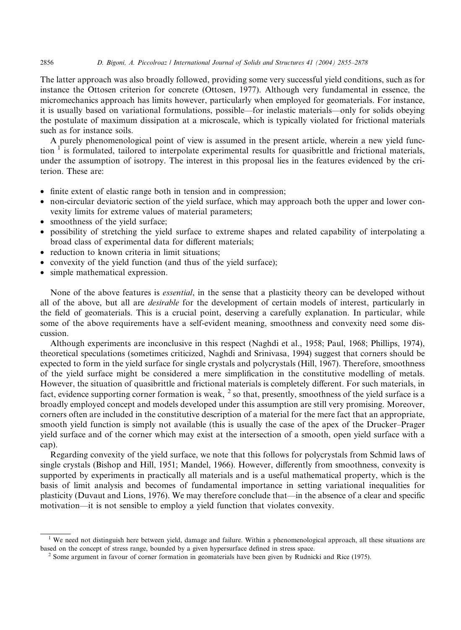#### 2856 D. Bigoni, A. Piccolroaz / International Journal of Solids and Structures 41 (2004) 2855–2878

The latter approach was also broadly followed, providing some very successful yield conditions, such as for instance the Ottosen criterion for concrete (Ottosen, 1977). Although very fundamental in essence, the micromechanics approach has limits however, particularly when employed for geomaterials. For instance, it is usually based on variational formulations, possible––for inelastic materials––only for solids obeying the postulate of maximum dissipation at a microscale, which is typically violated for frictional materials such as for instance soils.

A purely phenomenological point of view is assumed in the present article, wherein a new yield function  $\frac{1}{1}$  is formulated, tailored to interpolate experimental results for quasibrittle and frictional materials, under the assumption of isotropy. The interest in this proposal lies in the features evidenced by the criterion. These are:

- finite extent of elastic range both in tension and in compression;
- non-circular deviatoric section of the yield surface, which may approach both the upper and lower convexity limits for extreme values of material parameters;
- smoothness of the yield surface;
- possibility of stretching the yield surface to extreme shapes and related capability of interpolating a broad class of experimental data for different materials;
- reduction to known criteria in limit situations:
- convexity of the yield function (and thus of the yield surface);
- simple mathematical expression.

None of the above features is essential, in the sense that a plasticity theory can be developed without all of the above, but all are desirable for the development of certain models of interest, particularly in the field of geomaterials. This is a crucial point, deserving a carefully explanation. In particular, while some of the above requirements have a self-evident meaning, smoothness and convexity need some discussion.

Although experiments are inconclusive in this respect (Naghdi et al., 1958; Paul, 1968; Phillips, 1974), theoretical speculations (sometimes criticized, Naghdi and Srinivasa, 1994) suggest that corners should be expected to form in the yield surface for single crystals and polycrystals (Hill, 1967). Therefore, smoothness of the yield surface might be considered a mere simplification in the constitutive modelling of metals. However, the situation of quasibrittle and frictional materials is completely different. For such materials, in fact, evidence supporting corner formation is weak,  $^2$  so that, presently, smoothness of the yield surface is a broadly employed concept and models developed under this assumption are still very promising. Moreover, corners often are included in the constitutive description of a material for the mere fact that an appropriate, smooth yield function is simply not available (this is usually the case of the apex of the Drucker–Prager yield surface and of the corner which may exist at the intersection of a smooth, open yield surface with a cap).

Regarding convexity of the yield surface, we note that this follows for polycrystals from Schmid laws of single crystals (Bishop and Hill, 1951; Mandel, 1966). However, differently from smoothness, convexity is supported by experiments in practically all materials and is a useful mathematical property, which is the basis of limit analysis and becomes of fundamental importance in setting variational inequalities for plasticity (Duvaut and Lions, 1976). We may therefore conclude that––in the absence of a clear and specific motivation––it is not sensible to employ a yield function that violates convexity.

<sup>&</sup>lt;sup>1</sup> We need not distinguish here between yield, damage and failure. Within a phenomenological approach, all these situations are based on the concept of stress range, bounded by a given hypersurface defined in stress space.<br><sup>2</sup> Some argument in favour of corner formation in geomaterials have been given by Rudnicki and Rice (1975).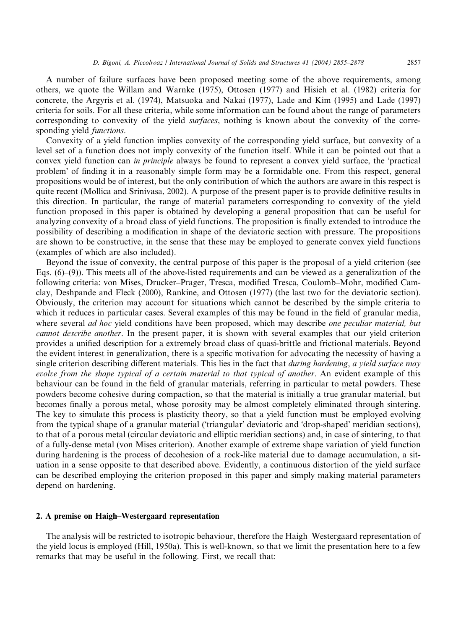A number of failure surfaces have been proposed meeting some of the above requirements, among others, we quote the Willam and Warnke (1975), Ottosen (1977) and Hisieh et al. (1982) criteria for concrete, the Argyris et al. (1974), Matsuoka and Nakai (1977), Lade and Kim (1995) and Lade (1997) criteria for soils. For all these criteria, while some information can be found about the range of parameters corresponding to convexity of the yield *surfaces*, nothing is known about the convexity of the corresponding yield *functions*.

Convexity of a yield function implies convexity of the corresponding yield surface, but convexity of a level set of a function does not imply convexity of the function itself. While it can be pointed out that a convex yield function can in principle always be found to represent a convex yield surface, the 'practical problem' of finding it in a reasonably simple form may be a formidable one. From this respect, general propositions would be of interest, but the only contribution of which the authors are aware in this respect is quite recent (Mollica and Srinivasa, 2002). A purpose of the present paper is to provide definitive results in this direction. In particular, the range of material parameters corresponding to convexity of the yield function proposed in this paper is obtained by developing a general proposition that can be useful for analyzing convexity of a broad class of yield functions. The proposition is finally extended to introduce the possibility of describing a modification in shape of the deviatoric section with pressure. The propositions are shown to be constructive, in the sense that these may be employed to generate convex yield functions (examples of which are also included).

Beyond the issue of convexity, the central purpose of this paper is the proposal of a yield criterion (see Eqs. (6)–(9)). This meets all of the above-listed requirements and can be viewed as a generalization of the following criteria: von Mises, Drucker–Prager, Tresca, modified Tresca, Coulomb–Mohr, modified Camclay, Deshpande and Fleck (2000), Rankine, and Ottosen (1977) (the last two for the deviatoric section). Obviously, the criterion may account for situations which cannot be described by the simple criteria to which it reduces in particular cases. Several examples of this may be found in the field of granular media, where several *ad hoc* yield conditions have been proposed, which may describe *one peculiar material, but* cannot describe another. In the present paper, it is shown with several examples that our yield criterion provides a unified description for a extremely broad class of quasi-brittle and frictional materials. Beyond the evident interest in generalization, there is a specific motivation for advocating the necessity of having a single criterion describing different materials. This lies in the fact that during hardening, a yield surface may evolve from the shape typical of a certain material to that typical of another. An evident example of this behaviour can be found in the field of granular materials, referring in particular to metal powders. These powders become cohesive during compaction, so that the material is initially a true granular material, but becomes finally a porous metal, whose porosity may be almost completely eliminated through sintering. The key to simulate this process is plasticity theory, so that a yield function must be employed evolving from the typical shape of a granular material ('triangular' deviatoric and 'drop-shaped' meridian sections), to that of a porous metal (circular deviatoric and elliptic meridian sections) and, in case of sintering, to that of a fully-dense metal (von Mises criterion). Another example of extreme shape variation of yield function during hardening is the process of decohesion of a rock-like material due to damage accumulation, a situation in a sense opposite to that described above. Evidently, a continuous distortion of the yield surface can be described employing the criterion proposed in this paper and simply making material parameters depend on hardening.

## 2. A premise on Haigh–Westergaard representation

The analysis will be restricted to isotropic behaviour, therefore the Haigh–Westergaard representation of the yield locus is employed (Hill, 1950a). This is well-known, so that we limit the presentation here to a few remarks that may be useful in the following. First, we recall that: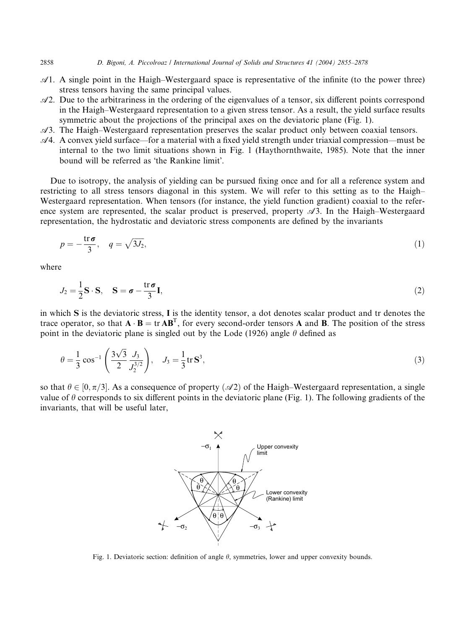- $\mathscr{A}1$ . A single point in the Haigh–Westergaard space is representative of the infinite (to the power three) stress tensors having the same principal values.
- $\mathscr{A}2$ . Due to the arbitrariness in the ordering of the eigenvalues of a tensor, six different points correspond in the Haigh–Westergaard representation to a given stress tensor. As a result, the yield surface results symmetric about the projections of the principal axes on the deviatoric plane (Fig. 1).
- $\mathscr A$ 3. The Haigh–Westergaard representation preserves the scalar product only between coaxial tensors.
- $A_4$ . A convex yield surface—for a material with a fixed yield strength under triaxial compression—must be internal to the two limit situations shown in Fig. 1 (Haythornthwaite, 1985). Note that the inner bound will be referred as 'the Rankine limit'.

Due to isotropy, the analysis of yielding can be pursued fixing once and for all a reference system and restricting to all stress tensors diagonal in this system. We will refer to this setting as to the Haigh– Westergaard representation. When tensors (for instance, the yield function gradient) coaxial to the reference system are represented, the scalar product is preserved, property  $\mathscr{A}3$ . In the Haigh–Westergaard representation, the hydrostatic and deviatoric stress components are defined by the invariants

$$
p = -\frac{\text{tr}\,\sigma}{3}, \quad q = \sqrt{3J_2},\tag{1}
$$

where

$$
J_2 = \frac{1}{2} \mathbf{S} \cdot \mathbf{S}, \quad \mathbf{S} = \boldsymbol{\sigma} - \frac{\mathrm{tr} \, \boldsymbol{\sigma}}{3} \mathbf{I},\tag{2}
$$

in which S is the deviatoric stress, I is the identity tensor, a dot denotes scalar product and tr denotes the trace operator, so that  $A \cdot B = \text{tr } AB^T$ , for every second-order tensors A and B. The position of the stress point in the deviatoric plane is singled out by the Lode (1926) angle  $\theta$  defined as

$$
\theta = \frac{1}{3} \cos^{-1} \left( \frac{3\sqrt{3}}{2} \frac{J_3}{J_2^{3/2}} \right), \quad J_3 = \frac{1}{3} \text{tr } \mathbf{S}^3,
$$
\n(3)

so that  $\theta \in [0, \pi/3]$ . As a consequence of property ( $\mathscr{A}2)$  of the Haigh–Westergaard representation, a single value of  $\theta$  corresponds to six different points in the deviatoric plane (Fig. 1). The following gradients of the invariants, that will be useful later,



Fig. 1. Deviatoric section: definition of angle  $\theta$ , symmetries, lower and upper convexity bounds.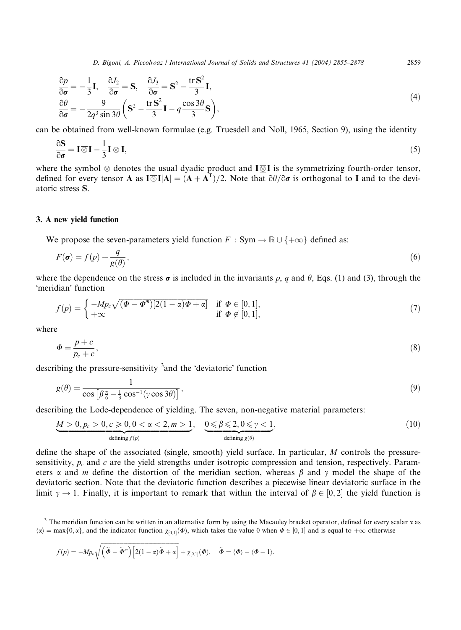D. Bigoni, A. Piccolroaz / International Journal of Solids and Structures 41 (2004) 2855–2878 2859

$$
\frac{\partial p}{\partial \sigma} = -\frac{1}{3} \mathbf{I}, \quad \frac{\partial J_2}{\partial \sigma} = \mathbf{S}, \quad \frac{\partial J_3}{\partial \sigma} = \mathbf{S}^2 - \frac{\text{tr}\,\mathbf{S}^2}{3} \mathbf{I}, \n\frac{\partial \theta}{\partial \sigma} = -\frac{9}{2q^3 \sin 3\theta} \left( \mathbf{S}^2 - \frac{\text{tr}\,\mathbf{S}^2}{3} \mathbf{I} - q \frac{\cos 3\theta}{3} \mathbf{S} \right),
$$
\n(4)

can be obtained from well-known formulae (e.g. Truesdell and Noll, 1965, Section 9), using the identity

$$
\frac{\partial S}{\partial \sigma} = I \underline{\overline{\otimes}} I - \frac{1}{3} I \otimes I,\tag{5}
$$

where the symbol  $\otimes$  denotes the usual dyadic product and  $I\overline{\otimes}I$  is the symmetrizing fourth-order tensor, defined for every tensor **A** as  $I\overline{\otimes} I[A] = (A + A^T)/2$ . Note that  $\partial \theta / \partial \sigma$  is orthogonal to I and to the deviatoric stress S.

#### 3. A new yield function

We propose the seven-parameters yield function  $F : Sym \to \mathbb{R} \cup \{+\infty\}$  defined as:

$$
F(\boldsymbol{\sigma}) = f(p) + \frac{q}{g(\theta)},\tag{6}
$$

where the dependence on the stress  $\sigma$  is included in the invariants p, q and  $\theta$ , Eqs. (1) and (3), through the 'meridian' function

$$
f(p) = \begin{cases} -Mp_c \sqrt{(\Phi - \Phi^m)[2(1 - \alpha)\Phi + \alpha]} & \text{if } \Phi \in [0, 1], \\ +\infty & \text{if } \Phi \notin [0, 1], \end{cases}
$$
(7)

where

$$
\Phi = \frac{p+c}{p_c+c},\tag{8}
$$

describing the pressure-sensitivity <sup>3</sup> and the 'deviatoric' function

$$
g(\theta) = \frac{1}{\cos\left[\beta \frac{\pi}{6} - \frac{1}{3}\cos^{-1}(\gamma \cos 3\theta)\right]},
$$
\n(9)

describing the Lode-dependence of yielding. The seven, non-negative material parameters:

$$
\underbrace{M>0, p_c>0, c\geqslant 0, 0<\alpha<2, m>1}_{\text{defining } f(p)}, \underbrace{0\leqslant\beta\leqslant 2, 0\leqslant\gamma<1}_{\text{defining } g(\theta)},
$$
\n(10)

define the shape of the associated (single, smooth) yield surface. In particular, M controls the pressuresensitivity,  $p_c$  and c are the yield strengths under isotropic compression and tension, respectively. Parameters  $\alpha$  and m define the distortion of the meridian section, whereas  $\beta$  and  $\gamma$  model the shape of the deviatoric section. Note that the deviatoric function describes a piecewise linear deviatoric surface in the limit  $\gamma \to 1$ . Finally, it is important to remark that within the interval of  $\beta \in [0,2]$  the yield function is

$$
f(p) = -Mp_c\sqrt{\left(\widetilde{\boldsymbol{\phi}} - \widetilde{\boldsymbol{\Phi}}^m\right)\left[2(1-\alpha)\widetilde{\boldsymbol{\Phi}} + \alpha\right]} + \chi_{[0,1]}(\boldsymbol{\Phi}), \quad \widetilde{\boldsymbol{\phi}} = \langle \boldsymbol{\Phi} \rangle - \langle \boldsymbol{\Phi} - 1 \rangle.
$$

<sup>&</sup>lt;sup>3</sup> The meridian function can be written in an alternative form by using the Macauley bracket operator, defined for every scalar  $\alpha$  as  $\langle \alpha \rangle = \max\{0, \alpha\}$ , and the indicator function  $\chi_{[0,1]}(\Phi)$ , which takes the value 0 when  $\Phi \in [0,1]$  and is equal to  $+\infty$  otherwise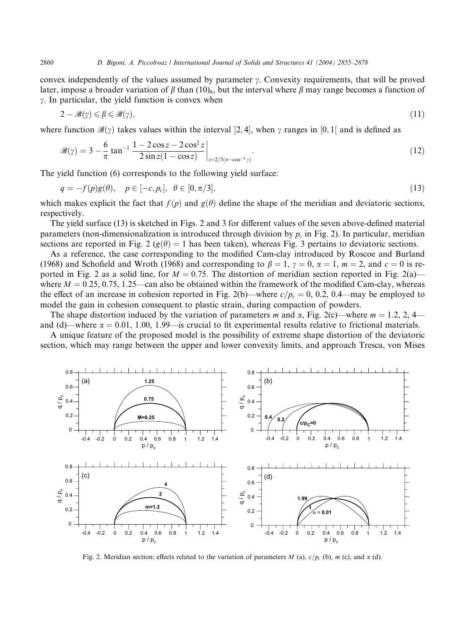convex independently of the values assumed by parameter  $\gamma$ . Convexity requirements, that will be proved later, impose a broader variation of  $\beta$  than (10)<sub>6</sub>, but the interval where  $\beta$  may range becomes a function of  $\gamma$ . In particular, the yield function is convex when

$$
2 - \mathcal{B}(\gamma) \leq \beta \leq \mathcal{B}(\gamma),\tag{11}
$$

where function  $\mathscr{B}(\gamma)$  takes values within the interval [2, 4], when  $\gamma$  ranges in [0, 1] and is defined as

$$
\mathcal{B}(\gamma) = 3 - \frac{6}{\pi} \tan^{-1} \frac{1 - 2\cos z - 2\cos^2 z}{2\sin z (1 - \cos z)} \bigg|_{z = 2/3(\pi - \cos^{-1} \gamma)}.
$$
\n(12)

The yield function (6) corresponds to the following yield surface:

$$
q = -f(p)g(\theta), \quad p \in [-c, p_c], \ \theta \in [0, \pi/3], \tag{13}
$$

which makes explicit the fact that  $f(p)$  and  $g(\theta)$  define the shape of the meridian and deviatoric sections, respectively.

The yield surface (13) is sketched in Figs. 2 and 3 for different values of the seven above-defined material parameters (non-dimensionalization is introduced through division by  $p_c$  in Fig. 2). In particular, meridian sections are reported in Fig. 2 ( $g(\theta) = 1$  has been taken), whereas Fig. 3 pertains to deviatoric sections.

As a reference, the case corresponding to the modified Cam-clay introduced by Roscoe and Burland (1968) and Schofield and Wroth (1968) and corresponding to  $\beta = 1$ ,  $\gamma = 0$ ,  $\alpha = 1$ ,  $m = 2$ , and  $c = 0$  is reported in Fig. 2 as a solid line, for  $M = 0.75$ . The distortion of meridian section reported in Fig. 2(a) where  $M = 0.25, 0.75, 1.25$ —can also be obtained within the framework of the modified Cam-clay, whereas the effect of an increase in cohesion reported in Fig. 2(b)—where  $c/p_c = 0, 0.2, 0.4$ —may be employed to model the gain in cohesion consequent to plastic strain, during compaction of powders.

The shape distortion induced by the variation of parameters m and  $\alpha$ , Fig. 2(c)—where  $m = 1.2, 2, 4$  and (d)—where  $\alpha = 0.01, 1.00, 1.99$ —is crucial to fit experimental results relative to frictional materials.

A unique feature of the proposed model is the possibility of extreme shape distortion of the deviatoric section, which may range between the upper and lower convexity limits, and approach Tresca, von Mises



Fig. 2. Meridian section: effects related to the variation of parameters M (a),  $c/p_c$  (b), m (c), and  $\alpha$  (d).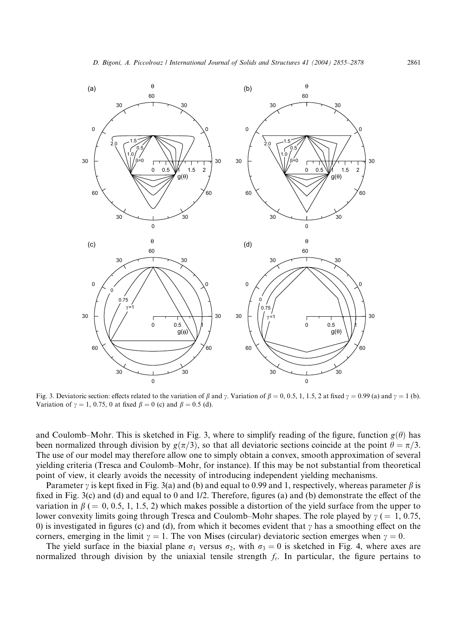

Fig. 3. Deviatoric section: effects related to the variation of  $\beta$  and  $\gamma$ . Variation of  $\beta = 0, 0.5, 1, 1.5, 2$  at fixed  $\gamma = 0.99$  (a) and  $\gamma = 1$  (b). Variation of  $\gamma = 1, 0.75, 0$  at fixed  $\beta = 0$  (c) and  $\beta = 0.5$  (d).

and Coulomb–Mohr. This is sketched in Fig. 3, where to simplify reading of the figure, function  $g(\theta)$  has been normalized through division by  $g(\pi/3)$ , so that all deviatoric sections coincide at the point  $\theta = \pi/3$ . The use of our model may therefore allow one to simply obtain a convex, smooth approximation of several yielding criteria (Tresca and Coulomb–Mohr, for instance). If this may be not substantial from theoretical point of view, it clearly avoids the necessity of introducing independent yielding mechanisms.

Parameter  $\gamma$  is kept fixed in Fig. 3(a) and (b) and equal to 0.99 and 1, respectively, whereas parameter  $\beta$  is fixed in Fig. 3(c) and (d) and equal to 0 and 1/2. Therefore, figures (a) and (b) demonstrate the effect of the variation in  $\beta$  ( = 0, 0.5, 1, 1.5, 2) which makes possible a distortion of the yield surface from the upper to lower convexity limits going through Tresca and Coulomb–Mohr shapes. The role played by  $\gamma$  ( = 1, 0.75, 0) is investigated in figures (c) and (d), from which it becomes evident that  $\gamma$  has a smoothing effect on the corners, emerging in the limit  $\gamma = 1$ . The von Mises (circular) deviatoric section emerges when  $\gamma = 0$ .

The yield surface in the biaxial plane  $\sigma_1$  versus  $\sigma_2$ , with  $\sigma_3 = 0$  is sketched in Fig. 4, where axes are normalized through division by the uniaxial tensile strength  $f<sub>i</sub>$ . In particular, the figure pertains to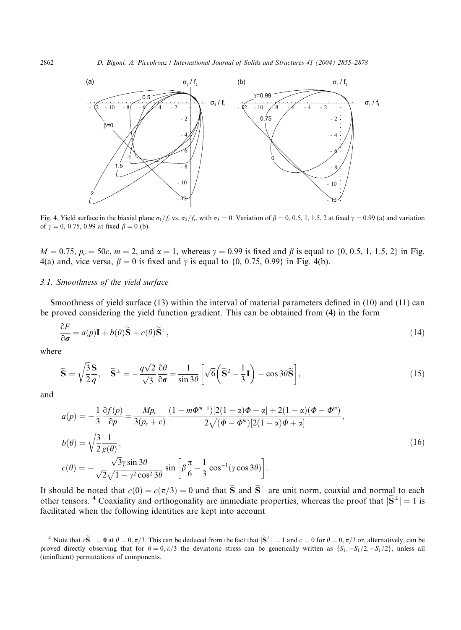

Fig. 4. Yield surface in the biaxial plane  $\sigma_1/f_t$  vs.  $\sigma_2/f_t$ , with  $\sigma_3 = 0$ . Variation of  $\beta = 0, 0.5, 1, 1.5, 2$  at fixed  $\gamma = 0.99$  (a) and variation of  $\gamma = 0, 0.75, 0.99$  at fixed  $\beta = 0$  (b).

 $M = 0.75$ ,  $p_c = 50c$ ,  $m = 2$ , and  $\alpha = 1$ , whereas  $\gamma = 0.99$  is fixed and  $\beta$  is equal to {0, 0.5, 1, 1.5, 2} in Fig. 4(a) and, vice versa,  $\beta = 0$  is fixed and  $\gamma$  is equal to {0, 0.75, 0.99} in Fig. 4(b).

# 3.1. Smoothness of the yield surface

Smoothness of yield surface (13) within the interval of material parameters defined in (10) and (11) can be proved considering the yield function gradient. This can be obtained from (4) in the form

$$
\frac{\partial F}{\partial \sigma} = a(p)\mathbf{I} + b(\theta)\widetilde{\mathbf{S}} + c(\theta)\widetilde{\mathbf{S}}^{\perp},\tag{14}
$$

where

$$
\widetilde{\mathbf{S}} = \sqrt{\frac{3}{2} \frac{\mathbf{S}}{q}}, \quad \widetilde{\mathbf{S}}^{\perp} = -\frac{q\sqrt{2}}{\sqrt{3}} \frac{\partial \theta}{\partial \sigma} = \frac{1}{\sin 3\theta} \left[ \sqrt{6} \left( \widetilde{\mathbf{S}}^2 - \frac{1}{3} \mathbf{I} \right) - \cos 3\theta \widetilde{\mathbf{S}} \right],\tag{15}
$$

and

$$
a(p) = -\frac{1}{3} \frac{\partial f(p)}{\partial p} = \frac{Mp_c}{3(p_c + c)} \frac{(1 - m\Phi^{m-1})[2(1 - \alpha)\Phi + \alpha] + 2(1 - \alpha)(\Phi - \Phi^m)}{2\sqrt{(\Phi - \Phi^m)[2(1 - \alpha)\Phi + \alpha]}},
$$
  
\n
$$
b(\theta) = \sqrt{\frac{3}{2} \frac{1}{g(\theta)}},
$$
  
\n
$$
c(\theta) = -\frac{\sqrt{3}\gamma \sin 3\theta}{\sqrt{2}\sqrt{1 - \gamma^2 \cos^2 3\theta}} \sin \left[\beta \frac{\pi}{6} - \frac{1}{3} \cos^{-1}(\gamma \cos 3\theta)\right].
$$
\n(16)

It should be noted that  $c(0) = c(\pi/3) = 0$  and that  $\tilde{S}$  and  $\tilde{S}^{\perp}$  are unit norm, coaxial and normal to each other tensors. <sup>4</sup> Coaxiality and orthogonality are immediate properties, whereas the proof that  $|\tilde{S}^{\perp}| = 1$  is facilitated when the following identities are kept into account

<sup>&</sup>lt;sup>4</sup> Note that  $c\tilde{S}^{\perp} = 0$  at  $\theta = 0, \pi/3$ . This can be deduced from the fact that  $|\tilde{S}^{\perp}| = 1$  and  $c = 0$  for  $\theta = 0, \pi/3$  or, alternatively, can be proved directly observing that for  $\theta = 0, \pi/3$  the deviatoric stress can be generically written as  $\{S_1, -S_1/2, -S_1/2\}$ , unless all (uninfluent) permutations of components.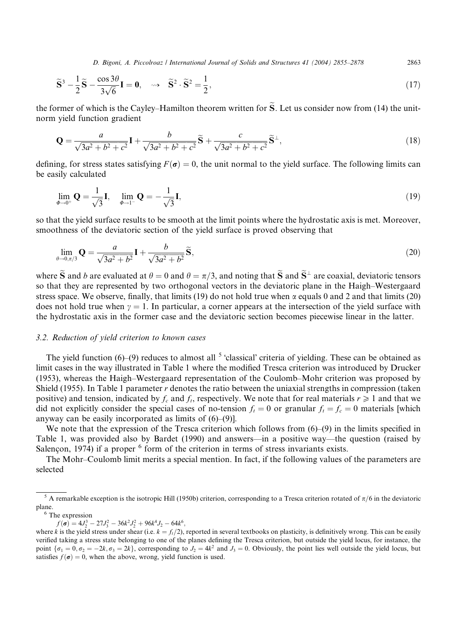D. Bigoni, A. Piccolroaz / International Journal of Solids and Structures 41 (2004) 2855–2878 2863

$$
\widetilde{\mathbf{S}}^3 - \frac{1}{2}\widetilde{\mathbf{S}} - \frac{\cos 3\theta}{3\sqrt{6}}\mathbf{I} = \mathbf{0}, \quad \leadsto \quad \widetilde{\mathbf{S}}^2 \cdot \widetilde{\mathbf{S}}^2 = \frac{1}{2}, \tag{17}
$$

the former of which is the Cayley–Hamilton theorem written for  $\tilde{S}$ . Let us consider now from (14) the unitnorm yield function gradient

$$
\mathbf{Q} = \frac{a}{\sqrt{3a^2 + b^2 + c^2}} \mathbf{I} + \frac{b}{\sqrt{3a^2 + b^2 + c^2}} \widetilde{\mathbf{S}} + \frac{c}{\sqrt{3a^2 + b^2 + c^2}} \widetilde{\mathbf{S}}^{\perp},
$$
\n(18)

defining, for stress states satisfying  $F(\sigma) = 0$ , the unit normal to the yield surface. The following limits can be easily calculated

$$
\lim_{\phi \to 0^+} \mathbf{Q} = \frac{1}{\sqrt{3}} \mathbf{I}, \quad \lim_{\phi \to 1^-} \mathbf{Q} = -\frac{1}{\sqrt{3}} \mathbf{I}, \tag{19}
$$

so that the yield surface results to be smooth at the limit points where the hydrostatic axis is met. Moreover, smoothness of the deviatoric section of the yield surface is proved observing that

$$
\lim_{\theta \to 0, \pi/3} \mathbf{Q} = \frac{a}{\sqrt{3a^2 + b^2}} \mathbf{I} + \frac{b}{\sqrt{3a^2 + b^2}} \widetilde{\mathbf{S}},
$$
\n(20)

where  $\tilde{S}$  and b are evaluated at  $\theta = 0$  and  $\theta = \pi/3$ , and noting that  $\tilde{S}$  and  $\tilde{S}^{\perp}$  are coaxial, deviatoric tensors so that they are represented by two orthogonal vectors in the deviatoric plane in the Haigh–Westergaard stress space. We observe, finally, that limits (19) do not hold true when  $\alpha$  equals 0 and 2 and that limits (20) does not hold true when  $\gamma = 1$ . In particular, a corner appears at the intersection of the yield surface with the hydrostatic axis in the former case and the deviatoric section becomes piecewise linear in the latter.

#### 3.2. Reduction of yield criterion to known cases

The yield function  $(6)$ – $(9)$  reduces to almost all <sup>5</sup> 'classical' criteria of yielding. These can be obtained as limit cases in the way illustrated in Table 1 where the modified Tresca criterion was introduced by Drucker (1953), whereas the Haigh–Westergaard representation of the Coulomb–Mohr criterion was proposed by Shield (1955). In Table 1 parameter r denotes the ratio between the uniaxial strengths in compression (taken positive) and tension, indicated by  $f_c$  and  $f_t$ , respectively. We note that for real materials  $r \geq 1$  and that we did not explicitly consider the special cases of no-tension  $f_t = 0$  or granular  $f_t = f_c = 0$  materials [which anyway can be easily incorporated as limits of  $(6)$ – $(9)$ ].

We note that the expression of the Tresca criterion which follows from  $(6)$ – $(9)$  in the limits specified in Table 1, was provided also by Bardet (1990) and answers––in a positive way––the question (raised by Salencon, 1974) if a proper  $6$  form of the criterion in terms of stress invariants exists.

The Mohr–Coulomb limit merits a special mention. In fact, if the following values of the parameters are selected

<sup>&</sup>lt;sup>5</sup> A remarkable exception is the isotropic Hill (1950b) criterion, corresponding to a Tresca criterion rotated of  $\pi/6$  in the deviatoric plane.<br><sup>6</sup> The expression

 $f(\sigma) = 4J_2^3 - 27J_3^2 - 36k^2J_2^2 + 96k^4J_2 - 64k^6,$ 

where k is the yield stress under shear (i.e.  $k = f_t/2$ ), reported in several textbooks on plasticity, is definitively wrong. This can be easily verified taking a stress state belonging to one of the planes defining the Tresca criterion, but outside the yield locus, for instance, the point  $\{\sigma_1 = 0, \sigma_2 = -2k, \sigma_3 = 2k\}$ , corresponding to  $J_2 = 4k^2$  and  $J_3 = 0$ . Obviously, the point lies well outside the yield locus, but satisfies  $f(\sigma) = 0$ , when the above, wrong, yield function is used.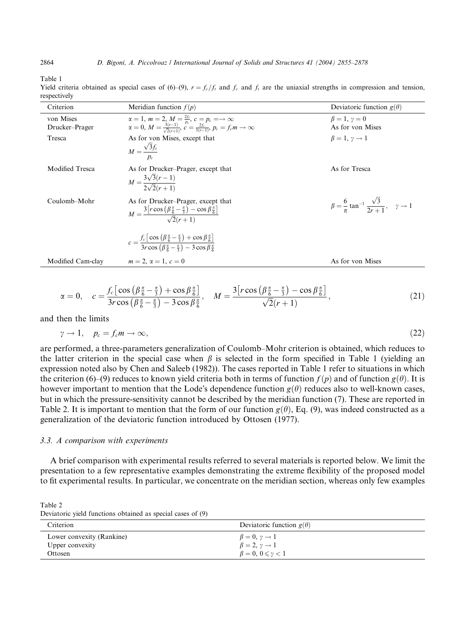Table 1

Yield criteria obtained as special cases of (6)–(9),  $r = f_c/f_t$  and  $f_c$  and  $f_t$  are the uniaxial strengths in compression and tension, respectively

| Criterion                   | Meridian function $f(p)$                                                                                                                                                                                                                                                                                                                                  | Deviatoric function $g(\theta)$                                             |
|-----------------------------|-----------------------------------------------------------------------------------------------------------------------------------------------------------------------------------------------------------------------------------------------------------------------------------------------------------------------------------------------------------|-----------------------------------------------------------------------------|
| von Mises<br>Drucker-Prager | $\alpha = 1, m = 2, M = \frac{2f_1}{p_c}, c = p_c = \rightarrow \infty$<br>$\alpha = 0, M = \frac{3(r-1)}{\sqrt{2(r+1)}}, c = \frac{2f_c}{3(r-1)}, p_c = f_c m \rightarrow \infty$                                                                                                                                                                        | $\beta = 1, \gamma = 0$<br>As for yon Mises                                 |
| Tresca                      | As for von Mises, except that<br>$M=\frac{\sqrt{3f_t}}{2}$<br>$p_c$                                                                                                                                                                                                                                                                                       | $\beta = 1, \gamma \rightarrow 1$                                           |
| Modified Tresca             | As for Drucker–Prager, except that<br>$M = \frac{3\sqrt{3}(r-1)}{2\sqrt{2}(r+1)}$                                                                                                                                                                                                                                                                         | As for Tresca                                                               |
| Coulomb–Mohr                | As for Drucker-Prager, except that<br>$M = \frac{3[r\cos(\beta \frac{\pi}{6} - \frac{\pi}{3}) - \cos \beta \frac{\pi}{6}]}{\sqrt{2(r+1)}}$<br>$c = \frac{f_c \left[ \cos \left( \beta \frac{\pi}{6} - \frac{\pi}{3} \right) + \cos \beta \frac{\pi}{6} \right]}{3r \cos \left( \beta \frac{\pi}{6} - \frac{\pi}{3} \right) - 3 \cos \beta \frac{\pi}{6}}$ | $\beta = \frac{6}{\pi} \tan^{-1} \frac{\sqrt{3}}{2n+1}, \quad \gamma \to 1$ |
|                             |                                                                                                                                                                                                                                                                                                                                                           |                                                                             |
| Modified Cam-clay           | $m = 2, \alpha = 1, c = 0$                                                                                                                                                                                                                                                                                                                                | As for von Mises                                                            |
|                             |                                                                                                                                                                                                                                                                                                                                                           |                                                                             |

$$
\alpha = 0, \quad c = \frac{f_c \left[ \cos \left( \beta \frac{\pi}{6} - \frac{\pi}{3} \right) + \cos \beta \frac{\pi}{6} \right]}{3r \cos \left( \beta \frac{\pi}{6} - \frac{\pi}{3} \right) - 3 \cos \beta \frac{\pi}{6}}, \quad M = \frac{3 \left[ r \cos \left( \beta \frac{\pi}{6} - \frac{\pi}{3} \right) - \cos \beta \frac{\pi}{6} \right]}{\sqrt{2} (r+1)},\tag{21}
$$

and then the limits

$$
\gamma \to 1, \quad p_c = f_c m \to \infty,\tag{22}
$$

are performed, a three-parameters generalization of Coulomb–Mohr criterion is obtained, which reduces to the latter criterion in the special case when  $\beta$  is selected in the form specified in Table 1 (yielding an expression noted also by Chen and Saleeb (1982)). The cases reported in Table 1 refer to situations in which the criterion (6)–(9) reduces to known yield criteria both in terms of function  $f(p)$  and of function  $g(\theta)$ . It is however important to mention that the Lode's dependence function  $g(\theta)$  reduces also to well-known cases, but in which the pressure-sensitivity cannot be described by the meridian function (7). These are reported in Table 2. It is important to mention that the form of our function  $g(\theta)$ , Eq. (9), was indeed constructed as a generalization of the deviatoric function introduced by Ottosen (1977).

#### 3.3. A comparison with experiments

A brief comparison with experimental results referred to several materials is reported below. We limit the presentation to a few representative examples demonstrating the extreme flexibility of the proposed model to fit experimental results. In particular, we concentrate on the meridian section, whereas only few examples

Table 2 Deviatoric yield functions obtained as special cases of (9)

| Criterion                                    | Deviatoric function $g(\theta)$                                        |
|----------------------------------------------|------------------------------------------------------------------------|
| Lower convexity (Rankine)<br>Upper convexity | $\beta = 0, \gamma \rightarrow 1$<br>$\beta = 2, \gamma \rightarrow 1$ |
| Ottosen                                      | $\beta = 0, 0 \leq \gamma < 1$                                         |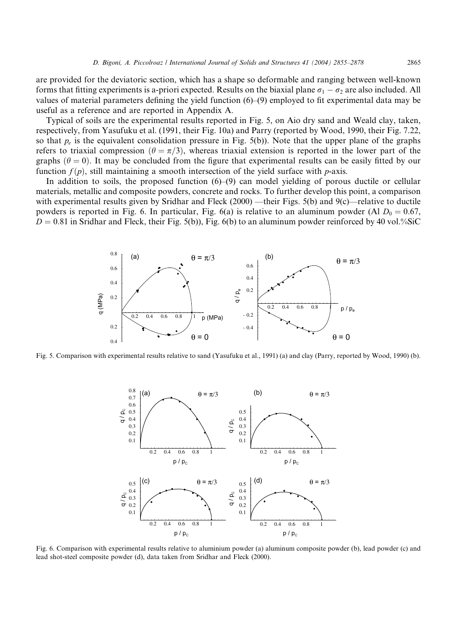are provided for the deviatoric section, which has a shape so deformable and ranging between well-known forms that fitting experiments is a-priori expected. Results on the biaxial plane  $\sigma_1 - \sigma_2$  are also included. All values of material parameters defining the yield function (6)–(9) employed to fit experimental data may be useful as a reference and are reported in Appendix A.

Typical of soils are the experimental results reported in Fig. 5, on Aio dry sand and Weald clay, taken, respectively, from Yasufuku et al. (1991, their Fig. 10a) and Parry (reported by Wood, 1990, their Fig. 7.22, so that  $p_e$  is the equivalent consolidation pressure in Fig. 5(b)). Note that the upper plane of the graphs refers to triaxial compression  $(\theta = \pi/3)$ , whereas triaxial extension is reported in the lower part of the graphs ( $\theta = 0$ ). It may be concluded from the figure that experimental results can be easily fitted by our function  $f(p)$ , still maintaining a smooth intersection of the yield surface with p-axis.

In addition to soils, the proposed function (6)–(9) can model yielding of porous ductile or cellular materials, metallic and composite powders, concrete and rocks. To further develop this point, a comparison with experimental results given by Sridhar and Fleck (2000) —their Figs. 5(b) and 9(c)—relative to ductile powders is reported in Fig. 6. In particular, Fig. 6(a) is relative to an aluminum powder (Al  $D_0 = 0.67$ ,  $D = 0.81$  in Sridhar and Fleck, their Fig. 5(b)), Fig. 6(b) to an aluminum powder reinforced by 40 vol.%SiC



Fig. 5. Comparison with experimental results relative to sand (Yasufuku et al., 1991) (a) and clay (Parry, reported by Wood, 1990) (b).



Fig. 6. Comparison with experimental results relative to aluminium powder (a) aluminum composite powder (b), lead powder (c) and lead shot-steel composite powder (d), data taken from Sridhar and Fleck (2000).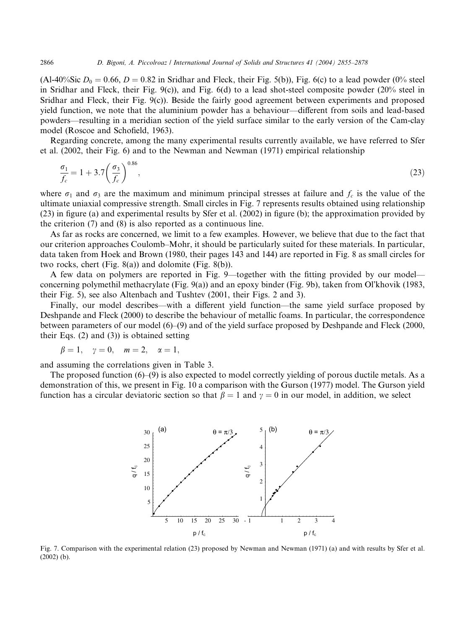(Al-40%Sic  $D_0 = 0.66$ ,  $D = 0.82$  in Sridhar and Fleck, their Fig. 5(b)), Fig. 6(c) to a lead powder (0% steel in Sridhar and Fleck, their Fig.  $9(c)$ ), and Fig.  $6(d)$  to a lead shot-steel composite powder (20% steel in Sridhar and Fleck, their Fig. 9(c)). Beside the fairly good agreement between experiments and proposed yield function, we note that the aluminium powder has a behaviour––different from soils and lead-based powders––resulting in a meridian section of the yield surface similar to the early version of the Cam-clay model (Roscoe and Schofield, 1963).

Regarding concrete, among the many experimental results currently available, we have referred to Sfer et al. (2002, their Fig. 6) and to the Newman and Newman (1971) empirical relationship

$$
\frac{\sigma_1}{f_c} = 1 + 3.7 \left(\frac{\sigma_3}{f_c}\right)^{0.86},\tag{23}
$$

where  $\sigma_1$  and  $\sigma_3$  are the maximum and minimum principal stresses at failure and  $f_c$  is the value of the ultimate uniaxial compressive strength. Small circles in Fig. 7 represents results obtained using relationship (23) in figure (a) and experimental results by Sfer et al. (2002) in figure (b); the approximation provided by the criterion (7) and (8) is also reported as a continuous line.

As far as rocks are concerned, we limit to a few examples. However, we believe that due to the fact that our criterion approaches Coulomb–Mohr, it should be particularly suited for these materials. In particular, data taken from Hoek and Brown (1980, their pages 143 and 144) are reported in Fig. 8 as small circles for two rocks, chert (Fig. 8(a)) and dolomite (Fig. 8(b)).

A few data on polymers are reported in Fig. 9––together with the fitting provided by our model–– concerning polymethil methacrylate (Fig. 9(a)) and an epoxy binder (Fig. 9b), taken from Ol'khovik (1983, their Fig. 5), see also Altenbach and Tushtev (2001, their Figs. 2 and 3).

Finally, our model describes––with a different yield function––the same yield surface proposed by Deshpande and Fleck (2000) to describe the behaviour of metallic foams. In particular, the correspondence between parameters of our model (6)–(9) and of the yield surface proposed by Deshpande and Fleck (2000, their Eqs. (2) and (3)) is obtained setting

 $\beta = 1, \quad \gamma = 0, \quad m = 2, \quad \alpha = 1,$ 

and assuming the correlations given in Table 3.

The proposed function (6)–(9) is also expected to model correctly yielding of porous ductile metals. As a demonstration of this, we present in Fig. 10 a comparison with the Gurson (1977) model. The Gurson yield function has a circular deviatoric section so that  $\beta = 1$  and  $\gamma = 0$  in our model, in addition, we select



Fig. 7. Comparison with the experimental relation (23) proposed by Newman and Newman (1971) (a) and with results by Sfer et al. (2002) (b).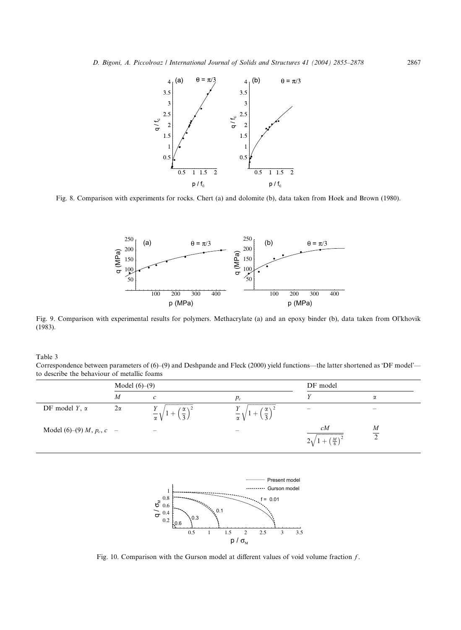

Fig. 8. Comparison with experiments for rocks. Chert (a) and dolomite (b), data taken from Hoek and Brown (1980).



Fig. 9. Comparison with experimental results for polymers. Methacrylate (a) and an epoxy binder (b), data taken from Ol'khovik (1983).

Table 3

Correspondence between parameters of (6)–(9) and Deshpande and Fleck (2000) yield functions—the latter shortened as 'DF model' to describe the behaviour of metallic foams

|                             | Model $(6)$ – $(9)$ |                                                          | DF model                              |                       |   |
|-----------------------------|---------------------|----------------------------------------------------------|---------------------------------------|-----------------------|---|
|                             | M                   | $\mathcal{C}$                                            | $p_c$                                 |                       | α |
| DF model $Y$ , $\alpha$     | $2\alpha$           | ά<br>$\qquad \qquad \blacksquare$<br>$\overline{\alpha}$ | α<br>$\qquad \qquad \qquad$<br>$\sim$ | $\sim$                | - |
| Model (6)–(9) $M, p_c, c$ – |                     | $\sim$                                                   | $\hspace{0.05cm}$                     | cM<br>$\underline{M}$ | M |



Fig. 10. Comparison with the Gurson model at different values of void volume fraction  $f$ .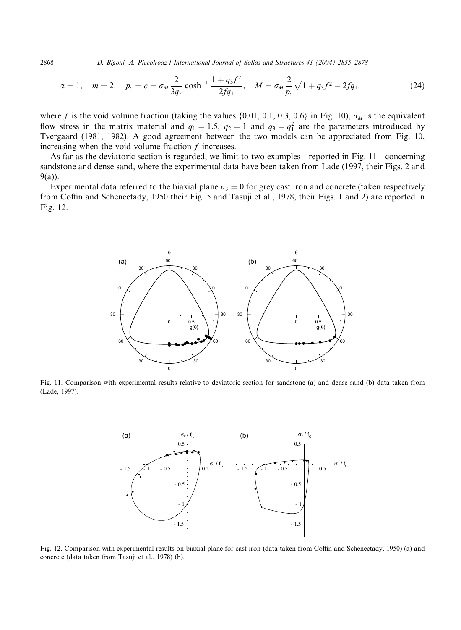2868 D. Bigoni, A. Piccolroaz / International Journal of Solids and Structures 41 (2004) 2855–2878

$$
\alpha = 1
$$
,  $m = 2$ ,  $p_c = c = \sigma_M \frac{2}{3q_2} \cosh^{-1} \frac{1 + q_3 f^2}{2fq_1}$ ,  $M = \sigma_M \frac{2}{p_c} \sqrt{1 + q_3 f^2 - 2fq_1}$ , (24)

where f is the void volume fraction (taking the values {0.01, 0.1, 0.3, 0.6} in Fig. 10),  $\sigma_M$  is the equivalent flow stress in the matrix material and  $q_1 = 1.5$ ,  $q_2 = 1$  and  $q_3 = q_1^2$  are the parameters introduced by Tvergaard (1981, 1982). A good agreement between the two models can be appreciated from Fig. 10, increasing when the void volume fraction  $f$  increases.

As far as the deviatoric section is regarded, we limit to two examples––reported in Fig. 11––concerning sandstone and dense sand, where the experimental data have been taken from Lade (1997, their Figs. 2 and 9(a)).

Experimental data referred to the biaxial plane  $\sigma_3 = 0$  for grey cast iron and concrete (taken respectively from Coffin and Schenectady, 1950 their Fig. 5 and Tasuji et al., 1978, their Figs. 1 and 2) are reported in Fig. 12.



Fig. 11. Comparison with experimental results relative to deviatoric section for sandstone (a) and dense sand (b) data taken from (Lade, 1997).



Fig. 12. Comparison with experimental results on biaxial plane for cast iron (data taken from Coffin and Schenectady, 1950) (a) and concrete (data taken from Tasuji et al., 1978) (b).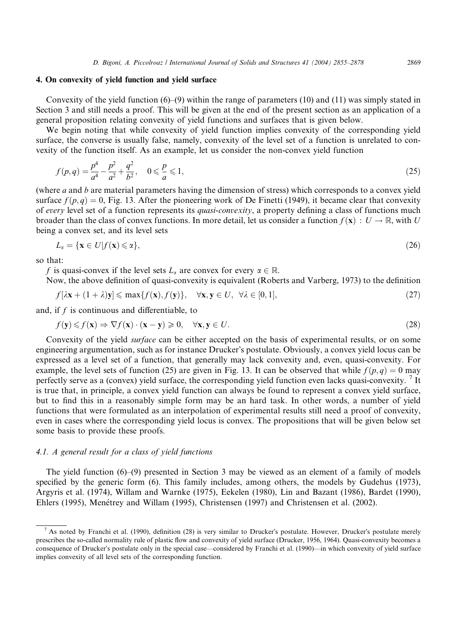# 4. On convexity of yield function and yield surface

Convexity of the yield function  $(6)$ – $(9)$  within the range of parameters (10) and (11) was simply stated in Section 3 and still needs a proof. This will be given at the end of the present section as an application of a general proposition relating convexity of yield functions and surfaces that is given below.

We begin noting that while convexity of yield function implies convexity of the corresponding yield surface, the converse is usually false, namely, convexity of the level set of a function is unrelated to convexity of the function itself. As an example, let us consider the non-convex yield function

$$
f(p,q) = \frac{p^4}{a^4} - \frac{p^2}{a^2} + \frac{q^2}{b^2}, \quad 0 \leq \frac{p}{a} \leq 1,
$$
\n(25)

(where a and b are material parameters having the dimension of stress) which corresponds to a convex yield surface  $f(p, q) = 0$ , Fig. 13. After the pioneering work of De Finetti (1949), it became clear that convexity of every level set of a function represents its quasi-convexity, a property defining a class of functions much broader than the class of convex functions. In more detail, let us consider a function  $f(\mathbf{x}) : U \to \mathbb{R}$ , with U being a convex set, and its level sets

$$
L_{\alpha} = \{ \mathbf{x} \in U | f(\mathbf{x}) \leq \alpha \},\tag{26}
$$

so that:

f is quasi-convex if the level sets  $L_{\alpha}$  are convex for every  $\alpha \in \mathbb{R}$ .

Now, the above definition of quasi-convexity is equivalent (Roberts and Varberg, 1973) to the definition

$$
f[\lambda \mathbf{x} + (1 + \lambda)\mathbf{y}] \le \max\{f(\mathbf{x}), f(\mathbf{y})\}, \quad \forall \mathbf{x}, \mathbf{y} \in U, \ \forall \lambda \in [0, 1], \tag{27}
$$

and, if f is continuous and differentiable, to

$$
f(\mathbf{y}) \leq f(\mathbf{x}) \Rightarrow \nabla f(\mathbf{x}) \cdot (\mathbf{x} - \mathbf{y}) \geq 0, \quad \forall \mathbf{x}, \mathbf{y} \in U.
$$
 (28)

Convexity of the yield surface can be either accepted on the basis of experimental results, or on some engineering argumentation, such as for instance Drucker's postulate. Obviously, a convex yield locus can be expressed as a level set of a function, that generally may lack convexity and, even, quasi-convexity. For example, the level sets of function (25) are given in Fig. 13. It can be observed that while  $f(p,q) = 0$  may perfectly serve as a (convex) yield surface, the corresponding yield function even lacks quasi-convexity. <sup>7</sup> It is true that, in principle, a convex yield function can always be found to represent a convex yield surface, but to find this in a reasonably simple form may be an hard task. In other words, a number of yield functions that were formulated as an interpolation of experimental results still need a proof of convexity, even in cases where the corresponding yield locus is convex. The propositions that will be given below set some basis to provide these proofs.

#### 4.1. A general result for a class of yield functions

The yield function (6)–(9) presented in Section 3 may be viewed as an element of a family of models specified by the generic form (6). This family includes, among others, the models by Gudehus (1973), Argyris et al. (1974), Willam and Warnke (1975), Eekelen (1980), Lin and Bazant (1986), Bardet (1990), Ehlers (1995), Menétrey and Willam (1995), Christensen (1997) and Christensen et al. (2002).

 $^7$  As noted by Franchi et al. (1990), definition (28) is very similar to Drucker's postulate. However, Drucker's postulate merely prescribes the so-called normality rule of plastic flow and convexity of yield surface (Drucker, 1956, 1964). Quasi-convexity becomes a consequence of Drucker's postulate only in the special case—considered by Franchi et al. (1990)—in which convexity of yield surface implies convexity of all level sets of the corresponding function.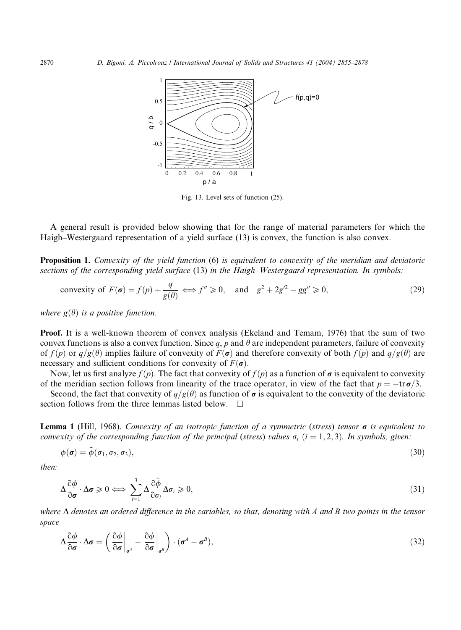

Fig. 13. Level sets of function (25).

A general result is provided below showing that for the range of material parameters for which the Haigh–Westergaard representation of a yield surface (13) is convex, the function is also convex.

**Proposition 1.** Convexity of the yield function (6) is equivalent to convexity of the meridian and deviatoric sections of the corresponding yield surface (13) in the Haigh–Westergaard representation. In symbols:

convexity of 
$$
F(\sigma) = f(p) + \frac{q}{g(\theta)} \iff f'' \ge 0
$$
, and  $g^2 + 2g'^2 - gg'' \ge 0$ , (29)

where  $g(\theta)$  is a positive function.

Proof. It is a well-known theorem of convex analysis (Ekeland and Temam, 1976) that the sum of two convex functions is also a convex function. Since q, p and  $\theta$  are independent parameters, failure of convexity of  $f(p)$  or  $q/g(\theta)$  implies failure of convexity of  $F(\sigma)$  and therefore convexity of both  $f(p)$  and  $q/g(\theta)$  are necessary and sufficient conditions for convexity of  $F(\sigma)$ .

Now, let us first analyze  $f(p)$ . The fact that convexity of  $f(p)$  as a function of  $\sigma$  is equivalent to convexity of the meridian section follows from linearity of the trace operator, in view of the fact that  $p = -\text{tr}\,\sigma/3$ .

Second, the fact that convexity of  $q/g(\theta)$  as function of  $\sigma$  is equivalent to the convexity of the deviatoric section follows from the three lemmas listed below.  $\Box$ 

**Lemma 1** (Hill, 1968). Convexity of an isotropic function of a symmetric (stress) tensor  $\sigma$  is equivalent to convexity of the corresponding function of the principal (stress) values  $\sigma_i$  ( $i = 1, 2, 3$ ). In symbols, given:

$$
\phi(\boldsymbol{\sigma}) = \tilde{\phi}(\sigma_1, \sigma_2, \sigma_3),\tag{30}
$$

then:

$$
\Delta \frac{\partial \phi}{\partial \sigma} \cdot \Delta \sigma \geq 0 \iff \sum_{i=1}^{3} \Delta \frac{\partial \tilde{\phi}}{\partial \sigma_i} \Delta \sigma_i \geq 0,
$$
\n(31)

where  $\Delta$  denotes an ordered difference in the variables, so that, denoting with A and B two points in the tensor space

$$
\Delta \frac{\partial \phi}{\partial \sigma} \cdot \Delta \sigma = \left( \frac{\partial \phi}{\partial \sigma} \bigg|_{\sigma^A} - \frac{\partial \phi}{\partial \sigma} \bigg|_{\sigma^B} \right) \cdot (\sigma^A - \sigma^B), \tag{32}
$$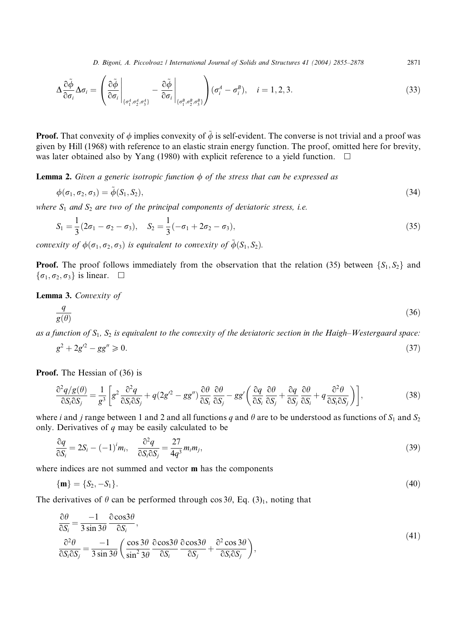D. Bigoni, A. Piccolroaz / International Journal of Solids and Structures 41 (2004) 2855–2878 2871

$$
\Delta \frac{\partial \tilde{\phi}}{\partial \sigma_i} \Delta \sigma_i = \left( \frac{\partial \tilde{\phi}}{\partial \sigma_i} \bigg|_{\{\sigma_1^A, \sigma_2^A, \sigma_3^A\}} - \frac{\partial \tilde{\phi}}{\partial \sigma_i} \bigg|_{\{\sigma_1^B, \sigma_2^B, \sigma_3^B\}} \right) (\sigma_i^A - \sigma_i^B), \quad i = 1, 2, 3.
$$
\n(33)

**Proof.** That convexity of  $\phi$  implies convexity of  $\tilde{\phi}$  is self-evident. The converse is not trivial and a proof was given by Hill (1968) with reference to an elastic strain energy function. The proof, omitted here for brevity, was later obtained also by Yang (1980) with explicit reference to a yield function.  $\Box$ 

**Lemma 2.** Given a generic isotropic function  $\phi$  of the stress that can be expressed as

$$
\phi(\sigma_1, \sigma_2, \sigma_3) = \tilde{\phi}(S_1, S_2),\tag{34}
$$

where  $S_1$  and  $S_2$  are two of the principal components of deviatoric stress, i.e.

$$
S_1 = \frac{1}{3}(2\sigma_1 - \sigma_2 - \sigma_3), \quad S_2 = \frac{1}{3}(-\sigma_1 + 2\sigma_2 - \sigma_3), \tag{35}
$$

convexity of  $\phi(\sigma_1, \sigma_2, \sigma_3)$  is equivalent to convexity of  $\tilde{\phi}(S_1, S_2)$ .

**Proof.** The proof follows immediately from the observation that the relation (35) between  $\{S_1, S_2\}$  and  $\{\sigma_1, \sigma_2, \sigma_3\}$  is linear.  $\Box$ 

Lemma 3. Convexity of

$$
\frac{q}{g(\theta)}\tag{36}
$$

as a function of  $S_1$ ,  $S_2$  is equivalent to the convexity of the deviatoric section in the Haigh–Westergaard space:

$$
g^2 + 2g'^2 - gg'' \ge 0. \tag{37}
$$

Proof. The Hessian of (36) is

$$
\frac{\partial^2 q/g(\theta)}{\partial S_i \partial S_j} = \frac{1}{g^3} \left[ g^2 \frac{\partial^2 q}{\partial S_i \partial S_j} + q(2g'^2 - gg'') \frac{\partial \theta}{\partial S_i} \frac{\partial \theta}{\partial S_j} - gg' \left( \frac{\partial q}{\partial S_i} \frac{\partial \theta}{\partial S_j} + \frac{\partial q}{\partial S_j} \frac{\partial \theta}{\partial S_i} + q \frac{\partial^2 \theta}{\partial S_i \partial S_j} \right) \right],
$$
(38)

where i and j range between 1 and 2 and all functions q and  $\theta$  are to be understood as functions of  $S_1$  and  $S_2$ only. Derivatives of  $q$  may be easily calculated to be

$$
\frac{\partial q}{\partial S_i} = 2S_i - (-1)^i m_i, \quad \frac{\partial^2 q}{\partial S_i \partial S_j} = \frac{27}{4q^3} m_i m_j,
$$
\n(39)

where indices are not summed and vector m has the components

$$
\{\mathbf{m}\} = \{S_2, -S_1\}.\tag{40}
$$

The derivatives of  $\theta$  can be performed through cos 3 $\theta$ , Eq. (3)<sub>1</sub>, noting that

$$
\frac{\partial \theta}{\partial S_i} = \frac{-1}{3 \sin 3\theta} \frac{\partial \cos 3\theta}{\partial S_i},
$$
\n
$$
\frac{\partial^2 \theta}{\partial S_i \partial S_j} = \frac{-1}{3 \sin 3\theta} \left( \frac{\cos 3\theta}{\sin^2 3\theta} \frac{\partial \cos 3\theta}{\partial S_i} \frac{\partial \cos 3\theta}{\partial S_i} + \frac{\partial^2 \cos 3\theta}{\partial S_i \partial S_j} \right),
$$
\n(41)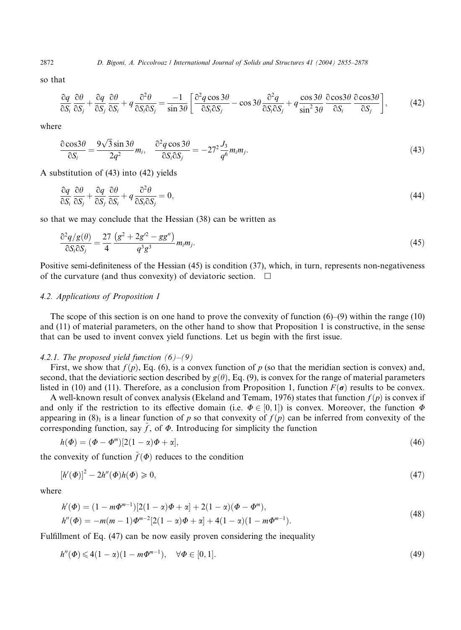so that

$$
\frac{\partial q}{\partial S_i} \frac{\partial \theta}{\partial S_j} + \frac{\partial q}{\partial S_j} \frac{\partial \theta}{\partial S_i} + q \frac{\partial^2 \theta}{\partial S_i \partial S_j} = \frac{-1}{\sin 3\theta} \left[ \frac{\partial^2 q \cos 3\theta}{\partial S_i \partial S_j} - \cos 3\theta \frac{\partial^2 q}{\partial S_i \partial S_j} + q \frac{\cos 3\theta}{\sin^2 3\theta} \frac{\partial \cos 3\theta}{\partial S_i} \frac{\partial \cos 3\theta}{\partial S_j} \right],
$$
(42)

where

$$
\frac{\partial \cos 3\theta}{\partial S_i} = \frac{9\sqrt{3}\sin 3\theta}{2q^2}m_i, \quad \frac{\partial^2 q \cos 3\theta}{\partial S_i \partial S_j} = -27^2 \frac{J_3}{q^6}m_i m_j.
$$
\n(43)

A substitution of (43) into (42) yields

$$
\frac{\partial q}{\partial S_i} \frac{\partial \theta}{\partial S_j} + \frac{\partial q}{\partial S_i} \frac{\partial \theta}{\partial S_i} + q \frac{\partial^2 \theta}{\partial S_i \partial S_j} = 0,
$$
\n(44)

so that we may conclude that the Hessian (38) can be written as

$$
\frac{\partial^2 q/g(\theta)}{\partial S_i \partial S_j} = \frac{27}{4} \frac{\left(g^2 + 2g'^2 - gg''\right)}{q^3 g^3} m_i m_j. \tag{45}
$$

Positive semi-definiteness of the Hessian (45) is condition (37), which, in turn, represents non-negativeness of the curvature (and thus convexity) of deviatoric section.  $\Box$ 

## 4.2. Applications of Proposition 1

The scope of this section is on one hand to prove the convexity of function  $(6)$ – $(9)$  within the range (10) and (11) of material parameters, on the other hand to show that Proposition 1 is constructive, in the sense that can be used to invent convex yield functions. Let us begin with the first issue.

## 4.2.1. The proposed yield function  $(6)-(9)$

First, we show that  $f(p)$ , Eq. (6), is a convex function of p (so that the meridian section is convex) and, second, that the deviatioric section described by  $g(\theta)$ , Eq. (9), is convex for the range of material parameters listed in (10) and (11). Therefore, as a conclusion from Proposition 1, function  $F(\sigma)$  results to be convex.

A well-known result of convex analysis (Ekeland and Temam, 1976) states that function  $f(p)$  is convex if and only if the restriction to its effective domain (i.e.  $\Phi \in [0, 1]$ ) is convex. Moreover, the function  $\Phi$ appearing in  $(8)$ <sub>1</sub> is a linear function of p so that convexity of  $f(p)$  can be inferred from convexity of the corresponding function, say  $\tilde{f}$ , of  $\Phi$ . Introducing for simplicity the function

$$
h(\Phi) = (\Phi - \Phi^m)[2(1 - \alpha)\Phi + \alpha],\tag{46}
$$

the convexity of function  $\tilde{f}(\Phi)$  reduces to the condition

$$
[h'(\Phi)]^2 - 2h''(\Phi)h(\Phi) \ge 0,\tag{47}
$$

where

$$
h'(\Phi) = (1 - m\Phi^{m-1})[2(1 - \alpha)\Phi + \alpha] + 2(1 - \alpha)(\Phi - \Phi^m),
$$
  
\n
$$
h''(\Phi) = -m(m-1)\Phi^{m-2}[2(1 - \alpha)\Phi + \alpha] + 4(1 - \alpha)(1 - m\Phi^{m-1}).
$$
\n(48)

Fulfillment of Eq. (47) can be now easily proven considering the inequality

$$
h''(\Phi) \leq 4(1 - \alpha)(1 - m\Phi^{m-1}), \quad \forall \Phi \in [0, 1].
$$
\n(49)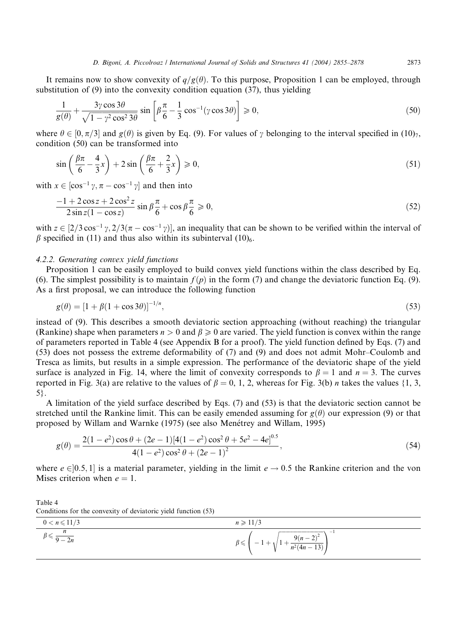It remains now to show convexity of  $q/g(\theta)$ . To this purpose, Proposition 1 can be employed, through substitution of (9) into the convexity condition equation (37), thus yielding

$$
\frac{1}{g(\theta)} + \frac{3\gamma\cos 3\theta}{\sqrt{1 - \gamma^2 \cos^2 3\theta}} \sin \left[\beta \frac{\pi}{6} - \frac{1}{3} \cos^{-1}(\gamma \cos 3\theta)\right] \ge 0,
$$
\n(50)

where  $\theta \in [0, \pi/3]$  and  $g(\theta)$  is given by Eq. (9). For values of  $\gamma$  belonging to the interval specified in (10)<sub>7</sub>, condition (50) can be transformed into

$$
\sin\left(\frac{\beta\pi}{6} - \frac{4}{3}x\right) + 2\sin\left(\frac{\beta\pi}{6} + \frac{2}{3}x\right) \ge 0,\tag{51}
$$

with  $x \in [\cos^{-1} \gamma, \pi - \cos^{-1} \gamma]$  and then into

$$
\frac{-1 + 2\cos z + 2\cos^2 z}{2\sin z (1 - \cos z)} \sin \beta \frac{\pi}{6} + \cos \beta \frac{\pi}{6} \ge 0,
$$
\n
$$
(52)
$$

with  $z \in [2/3 \cos^{-1} \gamma, 2/3(\pi - \cos^{-1} \gamma)]$ , an inequality that can be shown to be verified within the interval of  $\beta$  specified in (11) and thus also within its subinterval (10)<sub>6</sub>.

## 4.2.2. Generating convex yield functions

Proposition 1 can be easily employed to build convex yield functions within the class described by Eq. (6). The simplest possibility is to maintain  $f(p)$  in the form (7) and change the deviatoric function Eq. (9). As a first proposal, we can introduce the following function

$$
g(\theta) = [1 + \beta(1 + \cos 3\theta)]^{-1/n},
$$
\n(53)

instead of (9). This describes a smooth deviatoric section approaching (without reaching) the triangular (Rankine) shape when parameters  $n > 0$  and  $\beta \geq 0$  are varied. The yield function is convex within the range of parameters reported in Table 4 (see Appendix B for a proof). The yield function defined by Eqs. (7) and (53) does not possess the extreme deformability of (7) and (9) and does not admit Mohr–Coulomb and Tresca as limits, but results in a simple expression. The performance of the deviatoric shape of the yield surface is analyzed in Fig. 14, where the limit of convexity corresponds to  $\beta = 1$  and  $n = 3$ . The curves reported in Fig. 3(a) are relative to the values of  $\beta = 0, 1, 2$ , whereas for Fig. 3(b) *n* takes the values {1, 3, 5}.

A limitation of the yield surface described by Eqs. (7) and (53) is that the deviatoric section cannot be stretched until the Rankine limit. This can be easily emended assuming for  $g(\theta)$  our expression (9) or that proposed by Willam and Warnke (1975) (see also Menétrey and Willam, 1995)

$$
g(\theta) = \frac{2(1 - e^2)\cos\theta + (2e - 1)[4(1 - e^2)\cos^2\theta + 5e^2 - 4e]^{0.5}}{4(1 - e^2)\cos^2\theta + (2e - 1)^2},
$$
\n(54)

where  $e \in [0.5, 1]$  is a material parameter, yielding in the limit  $e \rightarrow 0.5$  the Rankine criterion and the von Mises criterion when  $e = 1$ .

Table 4 Conditions for the convexity of deviatoric yield function (53)

| $0 < n \leqslant 11/3$ | $n \geqslant 11/3$                          |
|------------------------|---------------------------------------------|
| $\frac{n}{9-2n}$       | -<br>$\sqrt{1+\frac{9(n-2)^2}{n^2(4n-13)}}$ |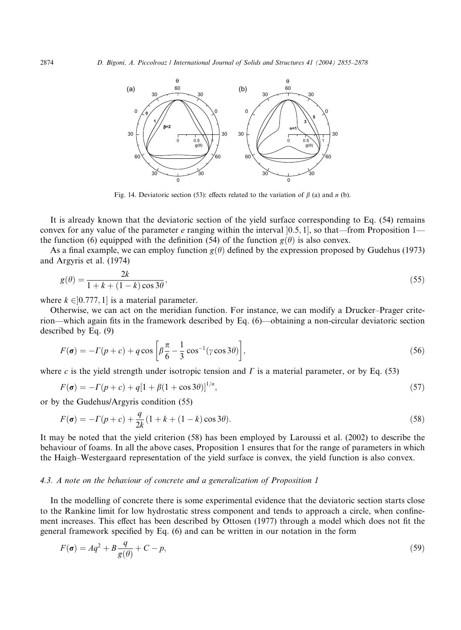

Fig. 14. Deviatoric section (53): effects related to the variation of  $\beta$  (a) and n (b).

It is already known that the deviatoric section of the yield surface corresponding to Eq. (54) remains convex for any value of the parameter e ranging within the interval  $[0.5, 1]$ , so that—from Proposition 1 the function (6) equipped with the definition (54) of the function  $g(\theta)$  is also convex.

As a final example, we can employ function  $g(\theta)$  defined by the expression proposed by Gudehus (1973) and Argyris et al. (1974)

$$
g(\theta) = \frac{2k}{1 + k + (1 - k)\cos 3\theta},\tag{55}
$$

where  $k \in [0.777, 1]$  is a material parameter.

Otherwise, we can act on the meridian function. For instance, we can modify a Drucker–Prager criterion––which again fits in the framework described by Eq. (6)––obtaining a non-circular deviatoric section described by Eq. (9)

$$
F(\boldsymbol{\sigma}) = -\Gamma(p+c) + q\cos\left[\beta\frac{\pi}{6} - \frac{1}{3}\cos^{-1}(\gamma\cos 3\theta)\right],\tag{56}
$$

where c is the yield strength under isotropic tension and  $\Gamma$  is a material parameter, or by Eq. (53)

$$
F(\sigma) = -\Gamma(p+c) + q[1 + \beta(1 + \cos 3\theta)]^{1/n},
$$
\n(57)

or by the Gudehus/Argyris condition (55)

$$
F(\sigma) = -\Gamma(p+c) + \frac{q}{2k}(1+k+(1-k)\cos 3\theta).
$$
 (58)

It may be noted that the yield criterion (58) has been employed by Laroussi et al. (2002) to describe the behaviour of foams. In all the above cases, Proposition 1 ensures that for the range of parameters in which the Haigh–Westergaard representation of the yield surface is convex, the yield function is also convex.

#### 4.3. A note on the behaviour of concrete and a generalization of Proposition 1

In the modelling of concrete there is some experimental evidence that the deviatoric section starts close to the Rankine limit for low hydrostatic stress component and tends to approach a circle, when confinement increases. This effect has been described by Ottosen (1977) through a model which does not fit the general framework specified by Eq. (6) and can be written in our notation in the form

$$
F(\sigma) = Aq^2 + B\frac{q}{g(\theta)} + C - p,\tag{59}
$$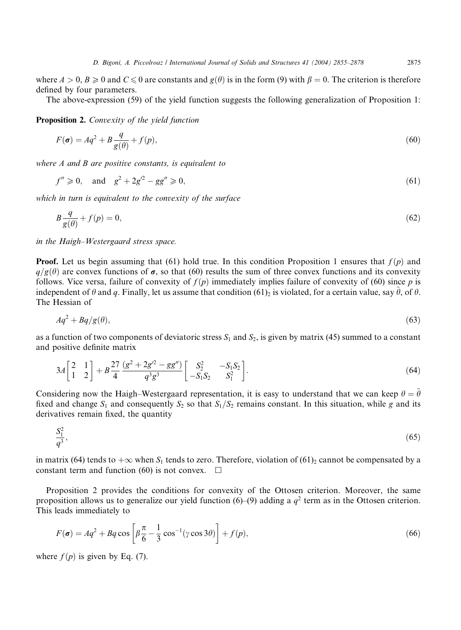where  $A > 0$ ,  $B \ge 0$  and  $C \le 0$  are constants and  $g(\theta)$  is in the form (9) with  $\beta = 0$ . The criterion is therefore defined by four parameters.

The above-expression (59) of the yield function suggests the following generalization of Proposition 1:

Proposition 2. Convexity of the yield function

$$
F(\sigma) = Aq^2 + B\frac{q}{g(\theta)} + f(p),\tag{60}
$$

where A and B are positive constants, is equivalent to

$$
f'' \ge 0
$$
, and  $g^2 + 2g'^2 - gg'' \ge 0$ , (61)

which in turn is equivalent to the convexity of the surface

$$
B\frac{q}{g(\theta)} + f(p) = 0,\tag{62}
$$

in the Haigh–Westergaard stress space.

**Proof.** Let us begin assuming that (61) hold true. In this condition Proposition 1 ensures that  $f(p)$  and  $q/g(\theta)$  are convex functions of  $\sigma$ , so that (60) results the sum of three convex functions and its convexity follows. Vice versa, failure of convexity of  $f(p)$  immediately implies failure of convexity of (60) since p is independent of  $\theta$  and q. Finally, let us assume that condition (61)<sub>2</sub> is violated, for a certain value, say  $\theta$ , of  $\theta$ . The Hessian of

$$
Aq^2 + Bq/g(\theta),\tag{63}
$$

as a function of two components of deviatoric stress  $S_1$  and  $S_2$ , is given by matrix (45) summed to a constant and positive definite matrix

$$
3A\begin{bmatrix} 2 & 1 \\ 1 & 2 \end{bmatrix} + B\frac{27}{4} \frac{(g^2 + 2g'^2 - gg'')}{q^3g^3} \begin{bmatrix} S_2^2 & -S_1S_2 \\ -S_1S_2 & S_1^2 \end{bmatrix}.
$$
 (64)

Considering now the Haigh–Westergaard representation, it is easy to understand that we can keep  $\theta = \theta$ fixed and change  $S_1$  and consequently  $S_2$  so that  $S_1/S_2$  remains constant. In this situation, while g and its derivatives remain fixed, the quantity

$$
\frac{S_1^2}{q^3},\tag{65}
$$

in matrix (64) tends to  $+\infty$  when S<sub>1</sub> tends to zero. Therefore, violation of (61)<sub>2</sub> cannot be compensated by a constant term and function (60) is not convex.  $\Box$ 

Proposition 2 provides the conditions for convexity of the Ottosen criterion. Moreover, the same proposition allows us to generalize our yield function (6)–(9) adding a  $q^2$  term as in the Ottosen criterion. This leads immediately to

$$
F(\boldsymbol{\sigma}) = Aq^2 + Bq \cos \left[ \beta \frac{\pi}{6} - \frac{1}{3} \cos^{-1}(\gamma \cos 3\theta) \right] + f(p), \tag{66}
$$

where  $f(p)$  is given by Eq. (7).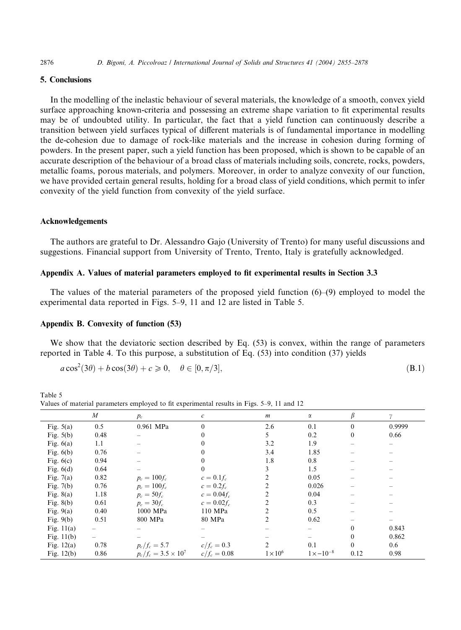# 5. Conclusions

In the modelling of the inelastic behaviour of several materials, the knowledge of a smooth, convex yield surface approaching known-criteria and possessing an extreme shape variation to fit experimental results may be of undoubted utility. In particular, the fact that a yield function can continuously describe a transition between yield surfaces typical of different materials is of fundamental importance in modelling the de-cohesion due to damage of rock-like materials and the increase in cohesion during forming of powders. In the present paper, such a yield function has been proposed, which is shown to be capable of an accurate description of the behaviour of a broad class of materials including soils, concrete, rocks, powders, metallic foams, porous materials, and polymers. Moreover, in order to analyze convexity of our function, we have provided certain general results, holding for a broad class of yield conditions, which permit to infer convexity of the yield function from convexity of the yield surface.

## Acknowledgements

The authors are grateful to Dr. Alessandro Gajo (University of Trento) for many useful discussions and suggestions. Financial support from University of Trento, Trento, Italy is gratefully acknowledged.

# Appendix A. Values of material parameters employed to fit experimental results in Section 3.3

The values of the material parameters of the proposed yield function  $(6)$ – $(9)$  employed to model the experimental data reported in Figs. 5–9, 11 and 12 are listed in Table 5.

# Appendix B. Convexity of function (53)

We show that the deviatoric section described by Eq. (53) is convex, within the range of parameters reported in Table 4. To this purpose, a substitution of Eq. (53) into condition (37) yields

$$
a\cos^2(3\theta) + b\cos(3\theta) + c \ge 0, \quad \theta \in [0, \pi/3],
$$
\n(B.1)

Table 5 Values of material parameters employed to fit experimental results in Figs. 5–9, 11 and 12

|              | $\boldsymbol{M}$         | $p_c$                       | $\mathcal{C}$  | $\boldsymbol{m}$ | α                   | ß        |        |
|--------------|--------------------------|-----------------------------|----------------|------------------|---------------------|----------|--------|
| Fig. $5(a)$  | 0.5                      | 0.961 MPa                   | $\theta$       | 2.6              | 0.1                 | $\theta$ | 0.9999 |
| Fig. $5(b)$  | 0.48                     |                             |                | 5                | 0.2                 | $\theta$ | 0.66   |
| Fig. $6(a)$  | 1.1                      |                             |                | 3.2              | 1.9                 |          |        |
| Fig. $6(b)$  | 0.76                     |                             |                | 3.4              | 1.85                |          |        |
| Fig. $6(c)$  | 0.94                     |                             |                | 1.8              | 0.8                 |          |        |
| Fig. $6(d)$  | 0.64                     |                             | $\theta$       | 3                | 1.5                 |          |        |
| Fig. $7(a)$  | 0.82                     | $p_c = 100 f_c$             | $c = 0.1 f_c$  | 2                | 0.05                |          |        |
| Fig. $7(b)$  | 0.76                     | $p_c = 100 f_c$             | $c = 0.2 f_c$  | $\overline{2}$   | 0.026               |          |        |
| Fig. $8(a)$  | 1.18                     | $p_c = 50 f_c$              | $c = 0.04 f_c$ | 2                | 0.04                |          |        |
| Fig. $8(b)$  | 0.61                     | $p_c = 30 f_c$              | $c = 0.02 f_c$ |                  | 0.3                 |          |        |
| Fig. $9(a)$  | 0.40                     | 1000 MPa                    | 110 MPa        | 2                | 0.5                 |          |        |
| Fig. $9(b)$  | 0.51                     | 800 MPa                     | 80 MPa         | 2                | 0.62                |          |        |
| Fig. $11(a)$ | $\overline{\phantom{0}}$ |                             |                |                  |                     | $\theta$ | 0.843  |
| Fig. $11(b)$ | $\overline{\phantom{0}}$ |                             |                |                  |                     | $\theta$ | 0.862  |
| Fig. $12(a)$ | 0.78                     | $p_c/f_c = 5.7$             | $c/f_c = 0.3$  | $\mathfrak{D}$   | 0.1                 | $\Omega$ | 0.6    |
| Fig. $12(b)$ | 0.86                     | $p_c/f_c = 3.5 \times 10^7$ | $c/f_c = 0.08$ | $1 \times 10^6$  | $1 \times -10^{-8}$ | 0.12     | 0.98   |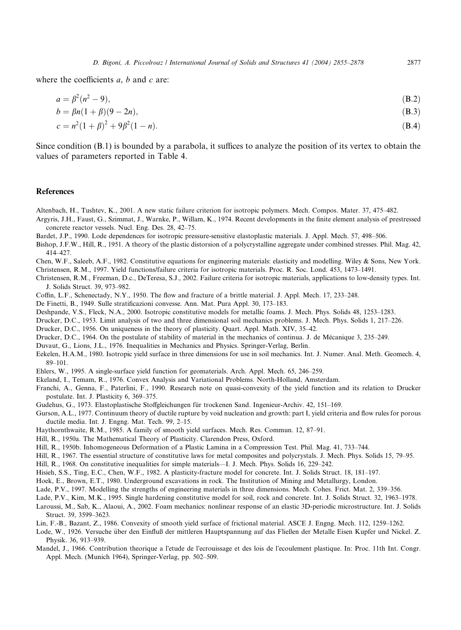where the coefficients  $a, b$  and  $c$  are:

$$
a = \beta^2(n^2 - 9),
$$
 (B.2)

$$
b = \beta n(1 + \beta)(9 - 2n),
$$
 (B.3)

$$
c = n^2(1+\beta)^2 + 9\beta^2(1-n). \tag{B.4}
$$

Since condition (B.1) is bounded by a parabola, it suffices to analyze the position of its vertex to obtain the values of parameters reported in Table 4.

#### References

Altenbach, H., Tushtev, K., 2001. A new static failure criterion for isotropic polymers. Mech. Compos. Mater. 37, 475–482.

- Argyris, J.H., Faust, G., Szimmat, J., Warnke, P., Willam, K., 1974. Recent developments in the finite element analysis of prestressed concrete reactor vessels. Nucl. Eng. Des. 28, 42–75.
- Bardet, J.P., 1990. Lode dependences for isotropic pressure-sensitive elastoplastic materials. J. Appl. Mech. 57, 498–506.
- Bishop, J.F.W., Hill, R., 1951. A theory of the plastic distorsion of a polycrystalline aggregate under combined stresses. Phil. Mag. 42, 414–427.
- Chen, W.F., Saleeb, A.F., 1982. Constitutive equations for engineering materials: elasticity and modelling. Wiley & Sons, New York. Christensen, R.M., 1997. Yield functions/failure criteria for isotropic materials. Proc. R. Soc. Lond. 453, 1473–1491.

- Christensen, R.M., Freeman, D.c., DeTeresa, S.J., 2002. Failure criteria for isotropic materials, applications to low-density types. Int. J. Solids Struct. 39, 973–982.
- Coffin, L.F., Schenectady, N.Y., 1950. The flow and fracture of a brittle material. J. Appl. Mech. 17, 233–248.
- De Finetti, B., 1949. Sulle stratificazioni convesse. Ann. Mat. Pura Appl. 30, 173–183.
- Deshpande, V.S., Fleck, N.A., 2000. Isotropic constitutive models for metallic foams. J. Mech. Phys. Solids 48, 1253–1283.
- Drucker, D.C., 1953. Limit analysis of two and three dimensional soil mechanics problems. J. Mech. Phys. Solids 1, 217–226.
- Drucker, D.C., 1956. On uniqueness in the theory of plasticity. Quart. Appl. Math. XIV, 35–42.
- Drucker, D.C., 1964. On the postulate of stability of material in the mechanics of continua. J. de Mécanique 3, 235–249.
- Duvaut, G., Lions, J.L., 1976. Inequalities in Mechanics and Physics. Springer-Verlag, Berlin.
- Eekelen, H.A.M., 1980. Isotropic yield surface in three dimensions for use in soil mechanics. Int. J. Numer. Anal. Meth. Geomech. 4, 89–101.
- Ehlers, W., 1995. A single-surface yield function for geomaterials. Arch. Appl. Mech. 65, 246–259.
- Ekeland, I., Temam, R., 1976. Convex Analysis and Variational Problems. North-Holland, Amsterdam.
- Franchi, A., Genna, F., Paterlini, F., 1990. Research note on quasi-convexity of the yield function and its relation to Drucker postulate. Int. J. Plasticity 6, 369–375.
- Gudehus, G., 1973. Elastoplastische Stoffgleichungen für trockenen Sand. Ingenieur-Archiv. 42, 151–169.
- Gurson, A.L., 1977. Continuum theory of ductile rupture by void nucleation and growth: part I, yield criteria and flow rules for porous ductile media. Int. J. Engng. Mat. Tech. 99, 2–15.
- Haythornthwaite, R.M., 1985. A family of smooth yield surfaces. Mech. Res. Commun. 12, 87–91.
- Hill, R., 1950a. The Mathematical Theory of Plasticity. Clarendon Press, Oxford.
- Hill, R., 1950b. Inhomogeneous Deformation of a Plastic Lamina in a Compression Test. Phil. Mag. 41, 733–744.
- Hill, R., 1967. The essential structure of constitutive laws for metal composites and polycrystals. J. Mech. Phys. Solids 15, 79–95.
- Hill, R., 1968. On constitutive inequalities for simple materials––I. J. Mech. Phys. Solids 16, 229–242.
- Hisieh, S.S., Ting, E.C., Chen, W.F., 1982. A plasticity-fracture model for concrete. Int. J. Solids Struct. 18, 181–197.
- Hoek, E., Brown, E.T., 1980. Underground excavations in rock. The Institution of Mining and Metallurgy, London.
- Lade, P.V., 1997. Modelling the strengths of engineering materials in three dimensions. Mech. Cohes. Frict. Mat. 2, 339–356.
- Lade, P.V., Kim, M.K., 1995. Single hardening constitutive model for soil, rock and concrete. Int. J. Solids Struct. 32, 1963–1978.
- Laroussi, M., Sab, K., Alaoui, A., 2002. Foam mechanics: nonlinear response of an elastic 3D-periodic microstructure. Int. J. Solids Struct. 39, 3599–3623.
- Lin, F.-B., Bazant, Z., 1986. Convexity of smooth yield surface of frictional material. ASCE J. Engng. Mech. 112, 1259–1262.
- Lode, W., 1926. Versuche über den Einfluß der mittleren Hauptspannung auf das Fließen der Metalle Eisen Kupfer und Nickel. Z. Physik. 36, 913–939.
- Mandel, J., 1966. Contribution theorique a l'etude de l'ecrouissage et des lois de l'ecoulement plastique. In: Proc. 11th Int. Congr. Appl. Mech. (Munich 1964), Springer-Verlag, pp. 502–509.